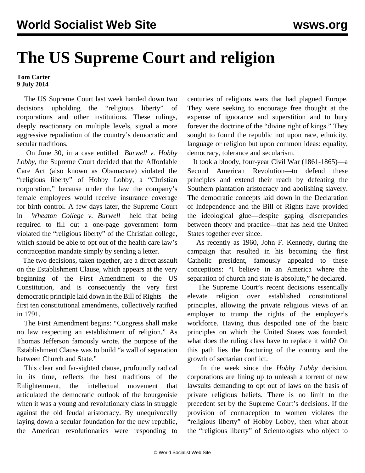## **The US Supreme Court and religion**

## **Tom Carter 9 July 2014**

 The US Supreme Court last week handed down two decisions upholding the "religious liberty" of corporations and other institutions. These rulings, deeply reactionary on multiple levels, signal a more aggressive repudiation of the country's democratic and secular traditions.

 On June 30, in a case entitled *[Burwell v. Hobby](/en/articles/2014/07/01/cour-j01.html) [Lobby](/en/articles/2014/07/01/cour-j01.html)*, the Supreme Court decided that the Affordable Care Act (also known as Obamacare) violated the "religious liberty" of Hobby Lobby, a "Christian corporation," because under the law the company's female employees would receive insurance coverage for birth control. A few days later, the Supreme Court in *[Wheaton College v. Burwell](/en/articles/2014/07/05/cour-j05.html)*held that being required to fill out a one-page government form violated the "religious liberty" of the Christian college, which should be able to opt out of the health care law's contraception mandate simply by sending a letter.

 The two decisions, taken together, are a direct assault on the Establishment Clause, which appears at the very beginning of the First Amendment to the US Constitution, and is consequently the very first democratic principle laid down in the Bill of Rights—the first ten constitutional amendments, collectively ratified in 1791.

 The First Amendment begins: "Congress shall make no law respecting an establishment of religion." As Thomas Jefferson famously wrote, the purpose of the Establishment Clause was to build "a wall of separation between Church and State."

 This clear and far-sighted clause, profoundly radical in its time, reflects the best traditions of the Enlightenment, the intellectual movement that articulated the democratic outlook of the bourgeoisie when it was a young and revolutionary class in struggle against the old feudal aristocracy. By unequivocally laying down a secular foundation for the new republic, the American revolutionaries were responding to

centuries of religious wars that had plagued Europe. They were seeking to encourage free thought at the expense of ignorance and superstition and to bury forever the doctrine of the "divine right of kings." They sought to found the republic not upon race, ethnicity, language or religion but upon common ideas: equality, democracy, tolerance and secularism.

 It took a bloody, four-year Civil War (1861-1865)—a Second American Revolution—to defend these principles and extend their reach by defeating the Southern plantation aristocracy and abolishing slavery. The democratic concepts laid down in the Declaration of Independence and the Bill of Rights have provided the ideological glue—despite gaping discrepancies between theory and practice—that has held the United States together ever since.

 As recently as 1960, John F. Kennedy, during the campaign that resulted in his becoming the first Catholic president, famously [appealed](http://www.npr.org/templates/story/story.php?storyId=16920600) to these conceptions: "I believe in an America where the separation of church and state is absolute," he declared.

 The Supreme Court's recent decisions essentially elevate religion over established constitutional principles, allowing the private religious views of an employer to trump the rights of the employer's workforce. Having thus despoiled one of the basic principles on which the United States was founded, what does the ruling class have to replace it with? On this path lies the fracturing of the country and the growth of sectarian conflict.

 In the week since the *Hobby Lobby* decision, corporations are lining up to unleash a torrent of new lawsuits demanding to opt out of laws on the basis of private religious beliefs. There is no limit to the precedent set by the Supreme Court's decisions. If the provision of contraception to women violates the "religious liberty" of Hobby Lobby, then what about the "religious liberty" of Scientologists who object to